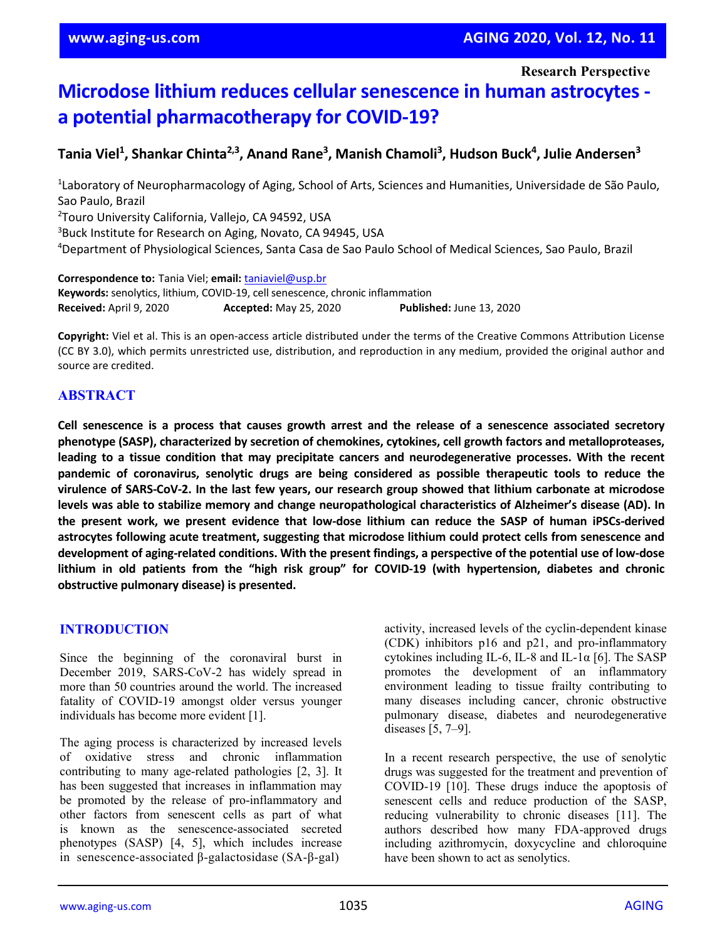**Research Perspective**

# **Microdose lithium reduces cellular senescence in human astrocytes a potential pharmacotherapy for COVID-19?**

# **Tania Viel1 , Shankar Chinta2,3, Anand Rane3 , Manish Chamoli3 , Hudson Buck4 , Julie Andersen3**

<sup>1</sup> Laboratory of Neuropharmacology of Aging, School of Arts, Sciences and Humanities, Universidade de São Paulo, Sao Paulo, Brazil 2 Touro University California, Vallejo, CA 94592, USA 3 Buck Institute for Research on Aging, Novato, CA 94945, USA 4 Department of Physiological Sciences, Santa Casa de Sao Paulo School of Medical Sciences, Sao Paulo, Brazil

**Correspondence to:** Tania Viel; **email:** [taniaviel@usp.br](mailto:taniaviel@usp.br) **Keywords:** senolytics, lithium, COVID-19, cell senescence, chronic inflammation **Received:** April 9, 2020 **Accepted:** May 25, 2020 **Published:** June 13, 2020

**Copyright:** Viel et al. This is an open-access article distributed under the terms of the Creative Commons Attribution License (CC BY 3.0), which permits unrestricted use, distribution, and reproduction in any medium, provided the original author and source are credited.

# **ABSTRACT**

Cell senescence is a process that causes growth arrest and the release of a senescence associated secretory **phenotype (SASP), characterized by secretion of chemokines, cytokines, cell growth factors and metalloproteases, leading to a tissue condition that may precipitate cancers and neurodegenerative processes. With the recent pandemic of coronavirus, senolytic drugs are being considered as possible therapeutic tools to reduce the** virulence of SARS-CoV-2. In the last few years, our research group showed that lithium carbonate at microdose **levels was able to stabilize memory and change neuropathological characteristics of Alzheimer's disease (AD). In the present work, we present evidence that low-dose lithium can reduce the SASP of human iPSCs-derived astrocytes following acute treatment, suggesting that microdose lithium could protect cells from senescence and** development of aging-related conditions. With the present findings, a perspective of the potential use of low-dose **lithium in old patients from the "high risk group" for COVID-19 (with hypertension, diabetes and chronic obstructive pulmonary disease) is presented.**

# **INTRODUCTION**

Since the beginning of the coronaviral burst in December 2019, SARS-CoV-2 has widely spread in more than 50 countries around the world. The increased fatality of COVID-19 amongst older versus younger individuals has become more evident [1].

The aging process is characterized by increased levels of oxidative stress and chronic inflammation contributing to many age-related pathologies [2, 3]. It has been suggested that increases in inflammation may be promoted by the release of pro-inflammatory and other factors from senescent cells as part of what is known as the senescence-associated secreted phenotypes (SASP) [4, 5], which includes increase in senescence-associated β-galactosidase (SA-β-gal)

activity, increased levels of the cyclin-dependent kinase (CDK) inhibitors p16 and p21, and pro-inflammatory cytokines including IL-6, IL-8 and IL-1 $\alpha$  [6]. The SASP promotes the development of an inflammatory environment leading to tissue frailty contributing to many diseases including cancer, chronic obstructive pulmonary disease, diabetes and neurodegenerative diseases [5, 7–9].

In a recent research perspective, the use of senolytic drugs was suggested for the treatment and prevention of COVID-19 [10]. These drugs induce the apoptosis of senescent cells and reduce production of the SASP, reducing vulnerability to chronic diseases [11]. The authors described how many FDA-approved drugs including azithromycin, doxycycline and chloroquine have been shown to act as senolytics.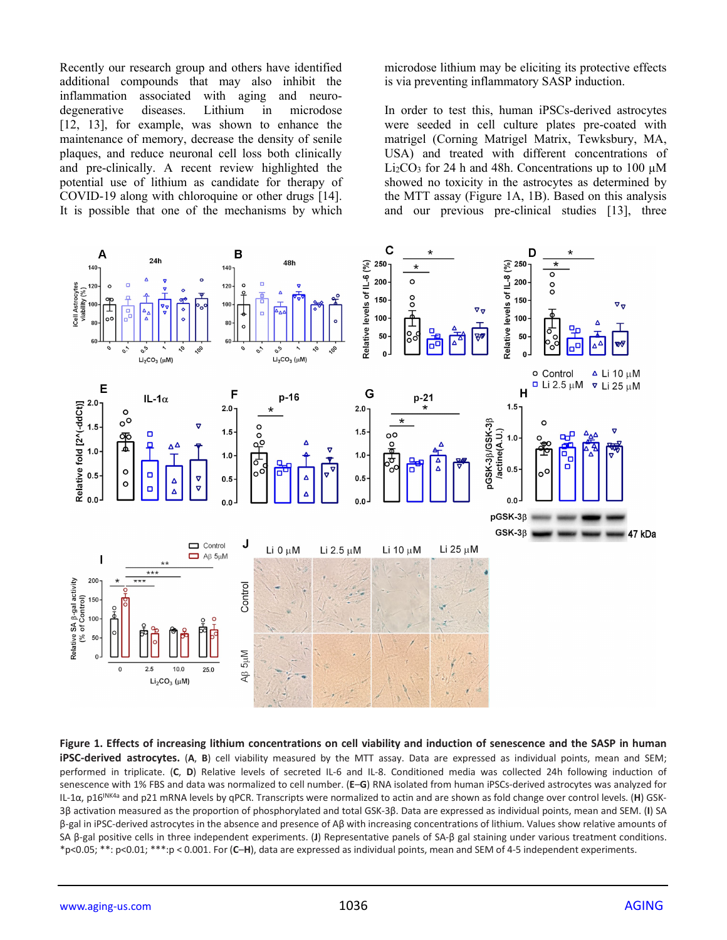Recently our research group and others have identified additional compounds that may also inhibit the inflammation associated with aging and neurodegenerative diseases. Lithium in microdose [12, 13], for example, was shown to enhance the maintenance of memory, decrease the density of senile plaques, and reduce neuronal cell loss both clinically and pre-clinically. A recent review highlighted the potential use of lithium as candidate for therapy of COVID-19 along with chloroquine or other drugs [14]. It is possible that one of the mechanisms by which

microdose lithium may be eliciting its protective effects is via preventing inflammatory SASP induction.

In order to test this, human iPSCs-derived astrocytes were seeded in cell culture plates pre-coated with matrigel (Corning Matrigel Matrix, Tewksbury, MA, USA) and treated with different concentrations of Li<sub>2</sub>CO<sub>3</sub> for 24 h and 48h. Concentrations up to 100  $\mu$ M showed no toxicity in the astrocytes as determined by the MTT assay (Figure 1A, 1B). Based on this analysis and our previous pre-clinical studies [13], three



**Figure 1. Effects of increasing lithium concentrations on cell viability and induction of senescence and the SASP in human iPSC-derived astrocytes.** (**A**, **B**) cell viability measured by the MTT assay. Data are expressed as individual points, mean and SEM; performed in triplicate. (**C**, **D**) Relative levels of secreted IL-6 and IL-8. Conditioned media was collected 24h following induction of senescence with 1% FBS and data was normalized to cell number. (**E**–**G**) RNA isolated from human iPSCs-derived astrocytes was analyzed for IL-1α, p16INK4a and p21 mRNA levels by qPCR. Transcripts were normalized to actin and are shown as fold change over control levels. (**H**) GSK-3β activation measured as the proportion of phosphorylated and total GSK-3β. Data are expressed as individual points, mean and SEM. (**I**) SA β-gal in iPSC-derived astrocytes in the absence and presence of Aβ with increasing concentrations of lithium. Values show relative amounts of SA β-gal positive cells in three independent experiments. (**J**) Representative panels of SA-β gal staining under various treatment conditions. \*p<0.05; \*\*: p<0.01; \*\*\*:p < 0.001. For (**C**–**H**), data are expressed as individual points, mean and SEM of 4-5 independent experiments.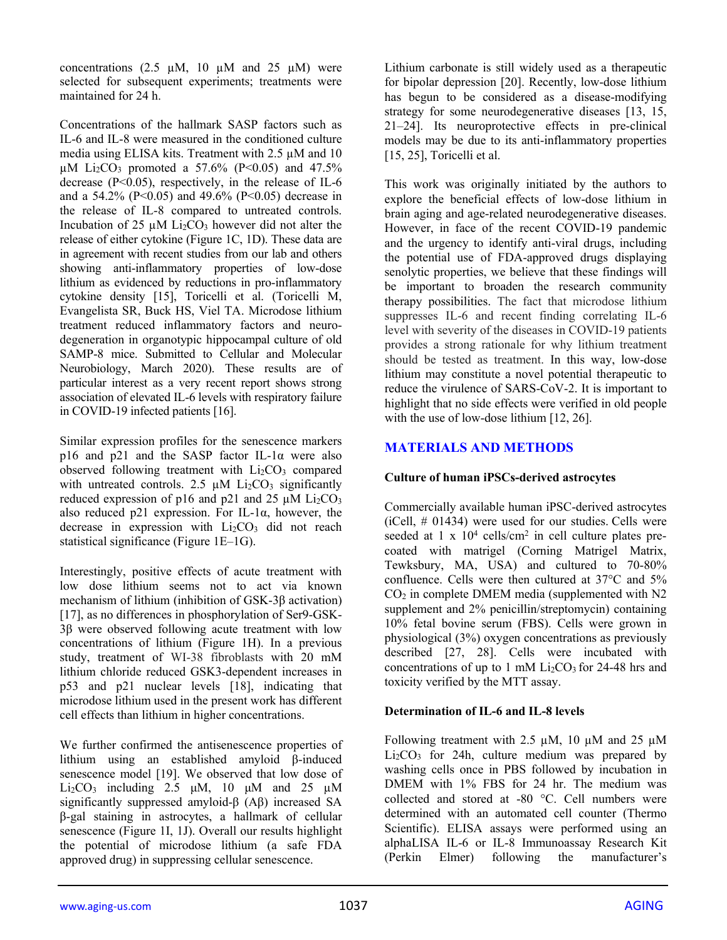concentrations  $(2.5 \text{ µM}, 10 \text{ µM} \text{ and } 25 \text{ µM})$  were selected for subsequent experiments; treatments were maintained for 24 h.

Concentrations of the hallmark SASP factors such as IL-6 and IL-8 were measured in the conditioned culture media using ELISA kits. Treatment with  $2.5 \mu M$  and 10  $\mu$ M Li<sub>2</sub>CO<sub>3</sub> promoted a 57.6% (P<0.05) and 47.5% decrease  $(P<0.05)$ , respectively, in the release of IL-6 and a 54.2% (P<0.05) and 49.6% (P<0.05) decrease in the release of IL-8 compared to untreated controls. Incubation of 25  $\mu$ M Li<sub>2</sub>CO<sub>3</sub> however did not alter the release of either cytokine (Figure 1C, 1D). These data are in agreement with recent studies from our lab and others showing anti-inflammatory properties of low-dose lithium as evidenced by reductions in pro-inflammatory cytokine density [15], Toricelli et al. (Toricelli M, Evangelista SR, Buck HS, Viel TA. Microdose lithium treatment reduced inflammatory factors and neurodegeneration in organotypic hippocampal culture of old SAMP-8 mice. Submitted to Cellular and Molecular Neurobiology, March 2020). These results are of particular interest as a very recent report shows strong association of elevated IL-6 levels with respiratory failure in COVID-19 infected patients [16].

Similar expression profiles for the senescence markers p16 and p21 and the SASP factor IL-1α were also observed following treatment with  $Li<sub>2</sub>CO<sub>3</sub>$  compared with untreated controls. 2.5  $\mu$ M Li<sub>2</sub>CO<sub>3</sub> significantly reduced expression of p16 and p21 and 25  $\mu$ M Li<sub>2</sub>CO<sub>3</sub> also reduced p21 expression. For IL-1 $\alpha$ , however, the decrease in expression with  $Li<sub>2</sub>CO<sub>3</sub>$  did not reach statistical significance (Figure 1E–1G).

Interestingly, positive effects of acute treatment with low dose lithium seems not to act via known mechanism of lithium (inhibition of GSK-3β activation) [17], as no differences in phosphorylation of Ser9-GSK-3β were observed following acute treatment with low concentrations of lithium (Figure 1H). In a previous study, treatment of WI-38 fibroblasts with 20 mM lithium chloride reduced GSK3-dependent increases in p53 and p21 nuclear levels [18], indicating that microdose lithium used in the present work has different cell effects than lithium in higher concentrations.

We further confirmed the antisenescence properties of lithium using an established amyloid β-induced senescence model [19]. We observed that low dose of Li<sub>2</sub>CO<sub>3</sub> including 2.5  $\mu$ M, 10  $\mu$ M and 25  $\mu$ M significantly suppressed amyloid-β (Aβ) increased SA β-gal staining in astrocytes, a hallmark of cellular senescence (Figure 1I, 1J). Overall our results highlight the potential of microdose lithium (a safe FDA approved drug) in suppressing cellular senescence.

Lithium carbonate is still widely used as a therapeutic for bipolar depression [20]. Recently, low-dose lithium has begun to be considered as a disease-modifying strategy for some neurodegenerative diseases [13, 15, 21–24]. Its neuroprotective effects in pre-clinical models may be due to its anti-inflammatory properties [15, 25], Toricelli et al.

This work was originally initiated by the authors to explore the beneficial effects of low-dose lithium in brain aging and age-related neurodegenerative diseases. However, in face of the recent COVID-19 pandemic and the urgency to identify anti-viral drugs, including the potential use of FDA-approved drugs displaying senolytic properties, we believe that these findings will be important to broaden the research community therapy possibilities. The fact that microdose lithium suppresses IL-6 and recent finding correlating IL-6 level with severity of the diseases in COVID-19 patients provides a strong rationale for why lithium treatment should be tested as treatment. In this way, low-dose lithium may constitute a novel potential therapeutic to reduce the virulence of SARS-CoV-2. It is important to highlight that no side effects were verified in old people with the use of low-dose lithium [12, 26].

# **MATERIALS AND METHODS**

# **Culture of human iPSCs-derived astrocytes**

Commercially available human iPSC-derived astrocytes (iCell, # 01434) were used for our studies. Cells were seeded at 1 x  $10<sup>4</sup>$  cells/cm<sup>2</sup> in cell culture plates precoated with matrigel (Corning Matrigel Matrix, Tewksbury, MA, USA) and cultured to 70-80% confluence. Cells were then cultured at 37°C and 5%  $CO<sub>2</sub>$  in complete DMEM media (supplemented with N2 supplement and 2% penicillin/streptomycin) containing 10% fetal bovine serum (FBS). Cells were grown in physiological (3%) oxygen concentrations as previously described [27, 28]. Cells were incubated with concentrations of up to 1 mM  $Li<sub>2</sub>CO<sub>3</sub>$  for 24-48 hrs and toxicity verified by the MTT assay.

# **Determination of IL-6 and IL-8 levels**

Following treatment with  $2.5 \mu M$ , 10  $\mu$ M and 25  $\mu$ M  $Li<sub>2</sub>CO<sub>3</sub>$  for 24h, culture medium was prepared by washing cells once in PBS followed by incubation in DMEM with 1% FBS for 24 hr. The medium was collected and stored at -80 °C. Cell numbers were determined with an automated cell counter (Thermo Scientific). ELISA assays were performed using an alphaLISA IL-6 or IL-8 Immunoassay Research Kit (Perkin Elmer) following the manufacturer's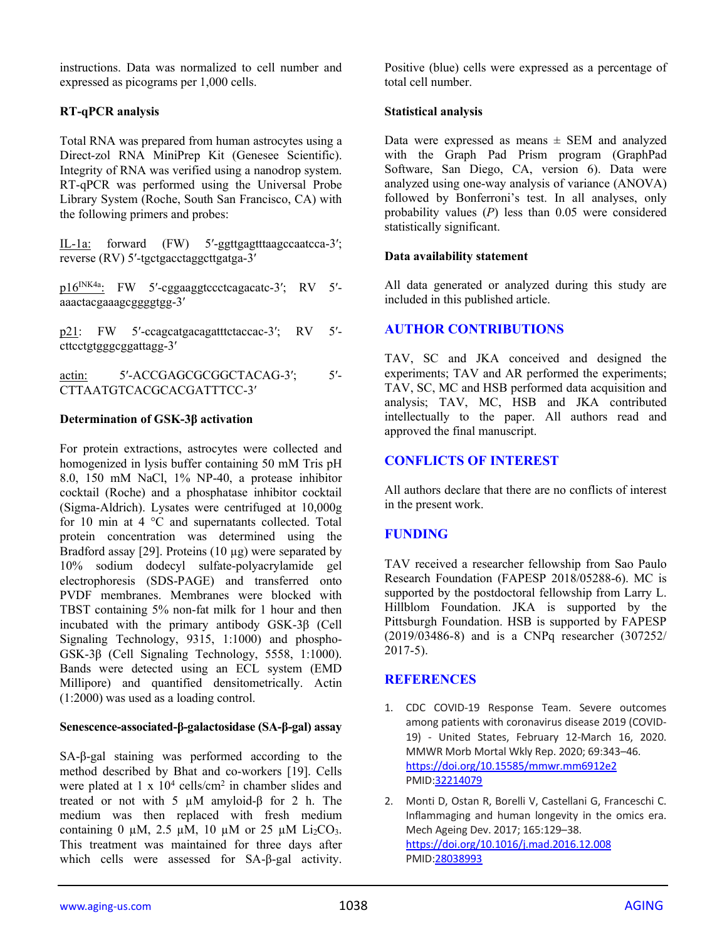instructions. Data was normalized to cell number and expressed as picograms per 1,000 cells.

# **RT-qPCR analysis**

Total RNA was prepared from human astrocytes using a Direct-zol RNA MiniPrep Kit (Genesee Scientific). Integrity of RNA was verified using a nanodrop system. RT-qPCR was performed using the Universal Probe Library System (Roche, South San Francisco, CA) with the following primers and probes:

IL-1a: forward (FW) 5′-ggttgagtttaagccaatcca-3′; reverse (RV) 5′-tgctgacctaggcttgatga-3′

p16<sup>INK4a</sup>: FW 5'-cggaaggtccctcagacatc-3'; RV 5'aaactacgaaagcggggtgg-3′

p21: FW 5'-ccagcatgacagatttctaccac-3'; RV 5'cttcctgtgggcggattagg-3′

actin: 5'-ACCGAGCGCGGCTACAG-3'; 5'-CTTAATGTCACGCACGATTTCC-3′

## **Determination of GSK-3β activation**

For protein extractions, astrocytes were collected and homogenized in lysis buffer containing 50 mM Tris pH 8.0, 150 mM NaCl, 1% NP-40, a protease inhibitor cocktail (Roche) and a phosphatase inhibitor cocktail (Sigma-Aldrich). Lysates were centrifuged at 10,000g for 10 min at 4 °C and supernatants collected. Total protein concentration was determined using the Bradford assay [29]. Proteins (10 µg) were separated by 10% sodium dodecyl sulfate-polyacrylamide gel electrophoresis (SDS-PAGE) and transferred onto PVDF membranes. Membranes were blocked with TBST containing 5% non-fat milk for 1 hour and then incubated with the primary antibody GSK-3β (Cell Signaling Technology, 9315, 1:1000) and phospho-GSK-3β (Cell Signaling Technology, 5558, 1:1000). Bands were detected using an ECL system (EMD Millipore) and quantified densitometrically. Actin (1:2000) was used as a loading control.

#### **Senescence-associated-β-galactosidase (SA-β-gal) assay**

SA-β-gal staining was performed according to the method described by Bhat and co-workers [19]. Cells were plated at  $1 \times 10^4$  cells/cm<sup>2</sup> in chamber slides and treated or not with 5 µM amyloid-β for 2 h. The medium was then replaced with fresh medium containing 0  $\mu$ M, 2.5  $\mu$ M, 10  $\mu$ M or 25  $\mu$ M Li<sub>2</sub>CO<sub>3</sub>. This treatment was maintained for three days after which cells were assessed for SA-β-gal activity.

Positive (blue) cells were expressed as a percentage of total cell number.

#### **Statistical analysis**

Data were expressed as means  $\pm$  SEM and analyzed with the Graph Pad Prism program (GraphPad Software, San Diego, CA, version 6). Data were analyzed using one-way analysis of variance (ANOVA) followed by Bonferroni's test. In all analyses, only probability values (*P*) less than 0.05 were considered statistically significant.

## **Data availability statement**

All data generated or analyzed during this study are included in this published article.

# **AUTHOR CONTRIBUTIONS**

TAV, SC and JKA conceived and designed the experiments; TAV and AR performed the experiments; TAV, SC, MC and HSB performed data acquisition and analysis; TAV, MC, HSB and JKA contributed intellectually to the paper. All authors read and approved the final manuscript.

# **CONFLICTS OF INTEREST**

All authors declare that there are no conflicts of interest in the present work.

# **FUNDING**

TAV received a researcher fellowship from Sao Paulo Research Foundation (FAPESP 2018/05288-6). MC is supported by the postdoctoral fellowship from Larry L. Hillblom Foundation. JKA is supported by the Pittsburgh Foundation. HSB is supported by FAPESP (2019/03486-8) and is a CNPq researcher (307252/ 2017-5).

# **REFERENCES**

- 1. CDC COVID-19 Response Team. Severe outcomes among patients with coronavirus disease 2019 (COVID-19) - United States, February 12-March 16, 2020. MMWR Morb Mortal Wkly Rep. 2020; 69:343–46. <https://doi.org/10.15585/mmwr.mm6912e2> PMID[:32214079](https://pubmed.ncbi.nlm.nih.gov/32214079)
- 2. Monti D, Ostan R, Borelli V, Castellani G, Franceschi C. Inflammaging and human longevity in the omics era. Mech Ageing Dev. 2017; 165:129–38. <https://doi.org/10.1016/j.mad.2016.12.008> PMID[:28038993](https://pubmed.ncbi.nlm.nih.gov/28038993)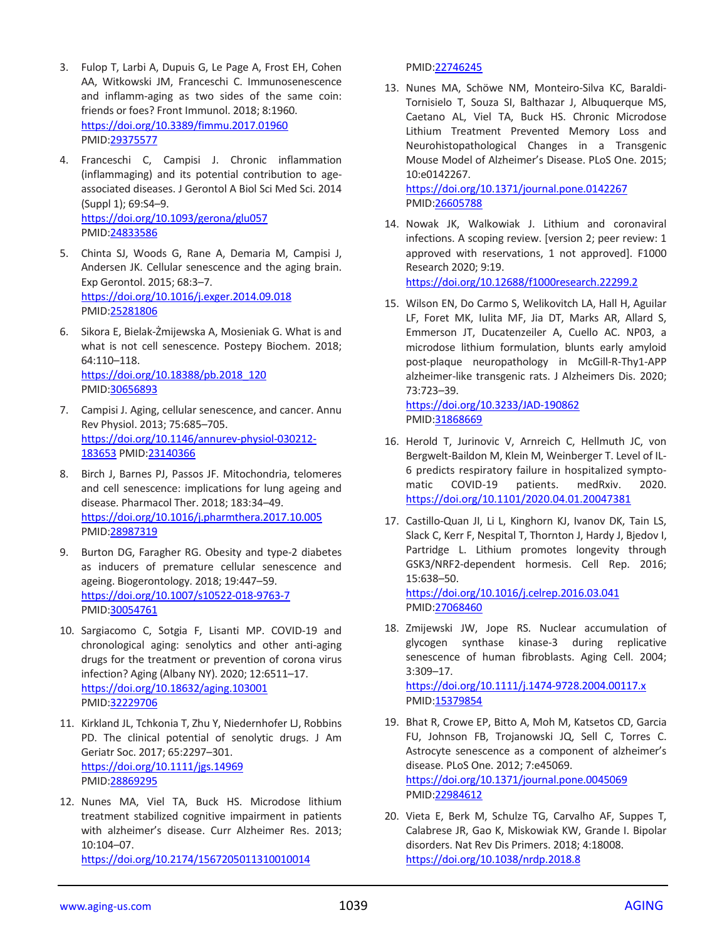- 3. Fulop T, Larbi A, Dupuis G, Le Page A, Frost EH, Cohen AA, Witkowski JM, Franceschi C. Immunosenescence and inflamm-aging as two sides of the same coin: friends or foes? Front Immunol. 2018; 8:1960. <https://doi.org/10.3389/fimmu.2017.01960> PMID[:29375577](https://pubmed.ncbi.nlm.nih.gov/29375577)
- 4. Franceschi C, Campisi J. Chronic inflammation (inflammaging) and its potential contribution to ageassociated diseases. J Gerontol A Biol Sci Med Sci. 2014 (Suppl 1); 69:S4–9. <https://doi.org/10.1093/gerona/glu057> PMID[:24833586](https://pubmed.ncbi.nlm.nih.gov/24833586)
- 5. Chinta SJ, Woods G, Rane A, Demaria M, Campisi J, Andersen JK. Cellular senescence and the aging brain. Exp Gerontol. 2015; 68:3–7. <https://doi.org/10.1016/j.exger.2014.09.018> PMID[:25281806](https://pubmed.ncbi.nlm.nih.gov/25281806)
- 6. Sikora E, Bielak-Żmijewska A, Mosieniak G. What is and what is not cell senescence. Postepy Biochem. 2018; 64:110–118. [https://doi.org/10.18388/pb.2018\\_120](https://doi.org/10.18388/pb.2018_120) PMID[:30656893](https://pubmed.ncbi.nlm.nih.gov/30656893)
- 7. Campisi J. Aging, cellular senescence, and cancer. Annu Rev Physiol. 2013; 75:685–705. [https://doi.org/10.1146/annurev-physiol-030212-](https://doi.org/10.1146/annurev-physiol-030212-183653) [183653](https://doi.org/10.1146/annurev-physiol-030212-183653) PMID[:23140366](https://pubmed.ncbi.nlm.nih.gov/23140366)
- 8. Birch J, Barnes PJ, Passos JF. Mitochondria, telomeres and cell senescence: implications for lung ageing and disease. Pharmacol Ther. 2018; 183:34–49. <https://doi.org/10.1016/j.pharmthera.2017.10.005> PMID[:28987319](https://pubmed.ncbi.nlm.nih.gov/28987319)
- 9. Burton DG, Faragher RG. Obesity and type-2 diabetes as inducers of premature cellular senescence and ageing. Biogerontology. 2018; 19:447–59. <https://doi.org/10.1007/s10522-018-9763-7> PMID[:30054761](https://pubmed.ncbi.nlm.nih.gov/30054761)
- 10. Sargiacomo C, Sotgia F, Lisanti MP. COVID-19 and chronological aging: senolytics and other anti-aging drugs for the treatment or prevention of corona virus infection? Aging (Albany NY). 2020; 12:6511–17. <https://doi.org/10.18632/aging.103001> PMID[:32229706](https://pubmed.ncbi.nlm.nih.gov/32229706)
- 11. Kirkland JL, Tchkonia T, Zhu Y, Niedernhofer LJ, Robbins PD. The clinical potential of senolytic drugs. J Am Geriatr Soc. 2017; 65:2297–301. <https://doi.org/10.1111/jgs.14969> PMID[:28869295](https://pubmed.ncbi.nlm.nih.gov/28869295)
- 12. Nunes MA, Viel TA, Buck HS. Microdose lithium treatment stabilized cognitive impairment in patients with alzheimer's disease. Curr Alzheimer Res. 2013; 10:104–07. <https://doi.org/10.2174/1567205011310010014>

#### PMID[:22746245](https://pubmed.ncbi.nlm.nih.gov/22746245)

13. Nunes MA, Schöwe NM, Monteiro-Silva KC, Baraldi-Tornisielo T, Souza SI, Balthazar J, Albuquerque MS, Caetano AL, Viel TA, Buck HS. Chronic Microdose Lithium Treatment Prevented Memory Loss and Neurohistopathological Changes in a Transgenic Mouse Model of Alzheimer's Disease. PLoS One. 2015; 10:e0142267.

<https://doi.org/10.1371/journal.pone.0142267> PMID[:26605788](https://pubmed.ncbi.nlm.nih.gov/26605788)

14. Nowak JK, Walkowiak J. Lithium and coronaviral infections. A scoping review. [version 2; peer review: 1 approved with reservations, 1 not approved]. F1000 Research 2020; 9:19. <https://doi.org/10.12688/f1000research.22299.2>

15. Wilson EN, Do Carmo S, Welikovitch LA, Hall H, Aguilar

LF, Foret MK, Iulita MF, Jia DT, Marks AR, Allard S, Emmerson JT, Ducatenzeiler A, Cuello AC. NP03, a microdose lithium formulation, blunts early amyloid post-plaque neuropathology in McGill-R-Thy1-APP alzheimer-like transgenic rats. J Alzheimers Dis. 2020; 73:723–39.

<https://doi.org/10.3233/JAD-190862> PMID[:31868669](https://pubmed.ncbi.nlm.nih.gov/31868669)

- 16. Herold T, Jurinovic V, Arnreich C, Hellmuth JC, von Bergwelt-Baildon M, Klein M, Weinberger T. Level of IL-6 predicts respiratory failure in hospitalized symptomatic COVID-19 patients. medRxiv. 2020. <https://doi.org/10.1101/2020.04.01.20047381>
- 17. Castillo-Quan JI, Li L, Kinghorn KJ, Ivanov DK, Tain LS, Slack C, Kerr F, Nespital T, Thornton J, Hardy J, Bjedov I, Partridge L. Lithium promotes longevity through GSK3/NRF2-dependent hormesis. Cell Rep. 2016; 15:638–50.

<https://doi.org/10.1016/j.celrep.2016.03.041> PMID[:27068460](https://pubmed.ncbi.nlm.nih.gov/27068460)

18. Zmijewski JW, Jope RS. Nuclear accumulation of glycogen synthase kinase-3 during replicative senescence of human fibroblasts. Aging Cell. 2004; 3:309–17. <https://doi.org/10.1111/j.1474-9728.2004.00117.x>

PMID[:15379854](https://pubmed.ncbi.nlm.nih.gov/15379854) 19. Bhat R, Crowe EP, Bitto A, Moh M, Katsetos CD, Garcia

- FU, Johnson FB, Trojanowski JQ, Sell C, Torres C. Astrocyte senescence as a component of alzheimer's disease. PLoS One. 2012; 7:e45069. <https://doi.org/10.1371/journal.pone.0045069> PMID[:22984612](https://pubmed.ncbi.nlm.nih.gov/22984612)
- 20. Vieta E, Berk M, Schulze TG, Carvalho AF, Suppes T, Calabrese JR, Gao K, Miskowiak KW, Grande I. Bipolar disorders. Nat Rev Dis Primers. 2018; 4:18008. <https://doi.org/10.1038/nrdp.2018.8>